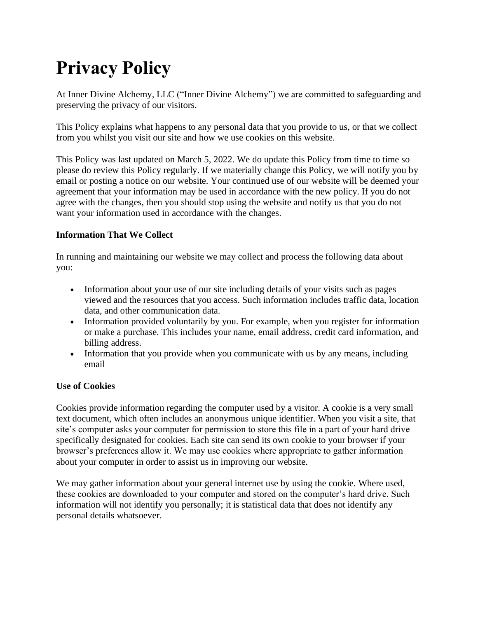# **Privacy Policy**

At Inner Divine Alchemy, LLC ("Inner Divine Alchemy") we are committed to safeguarding and preserving the privacy of our visitors.

This Policy explains what happens to any personal data that you provide to us, or that we collect from you whilst you visit our site and how we use cookies on this website.

This Policy was last updated on March 5, 2022. We do update this Policy from time to time so please do review this Policy regularly. If we materially change this Policy, we will notify you by email or posting a notice on our website. Your continued use of our website will be deemed your agreement that your information may be used in accordance with the new policy. If you do not agree with the changes, then you should stop using the website and notify us that you do not want your information used in accordance with the changes.

## **Information That We Collect**

In running and maintaining our website we may collect and process the following data about you:

- Information about your use of our site including details of your visits such as pages viewed and the resources that you access. Such information includes traffic data, location data, and other communication data.
- Information provided voluntarily by you. For example, when you register for information or make a purchase. This includes your name, email address, credit card information, and billing address.
- Information that you provide when you communicate with us by any means, including email

## **Use of Cookies**

Cookies provide information regarding the computer used by a visitor. A cookie is a very small text document, which often includes an anonymous unique identifier. When you visit a site, that site's computer asks your computer for permission to store this file in a part of your hard drive specifically designated for cookies. Each site can send its own cookie to your browser if your browser's preferences allow it. We may use cookies where appropriate to gather information about your computer in order to assist us in improving our website.

We may gather information about your general internet use by using the cookie. Where used, these cookies are downloaded to your computer and stored on the computer's hard drive. Such information will not identify you personally; it is statistical data that does not identify any personal details whatsoever.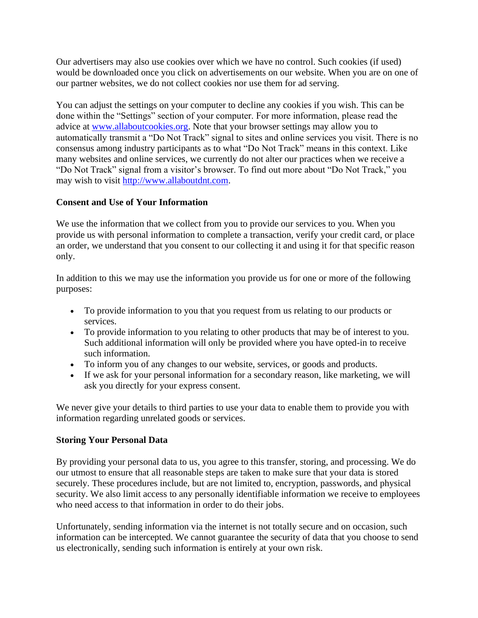Our advertisers may also use cookies over which we have no control. Such cookies (if used) would be downloaded once you click on advertisements on our website. When you are on one of our partner websites, we do not collect cookies nor use them for ad serving.

You can adjust the settings on your computer to decline any cookies if you wish. This can be done within the "Settings" section of your computer. For more information, please read the advice at [www.allaboutcookies.org.](http://www.allaboutcookies.org/) Note that your browser settings may allow you to automatically transmit a "Do Not Track" signal to sites and online services you visit. There is no consensus among industry participants as to what "Do Not Track" means in this context. Like many websites and online services, we currently do not alter our practices when we receive a "Do Not Track" signal from a visitor's browser. To find out more about "Do Not Track," you may wish to visit [http://www.allaboutdnt.com.](http://www.allaboutdnt.com/)

## **Consent and Use of Your Information**

We use the information that we collect from you to provide our services to you. When you provide us with personal information to complete a transaction, verify your credit card, or place an order, we understand that you consent to our collecting it and using it for that specific reason only.

In addition to this we may use the information you provide us for one or more of the following purposes:

- To provide information to you that you request from us relating to our products or services.
- To provide information to you relating to other products that may be of interest to you. Such additional information will only be provided where you have opted-in to receive such information.
- To inform you of any changes to our website, services, or goods and products.
- If we ask for your personal information for a secondary reason, like marketing, we will ask you directly for your express consent.

We never give your details to third parties to use your data to enable them to provide you with information regarding unrelated goods or services.

## **Storing Your Personal Data**

By providing your personal data to us, you agree to this transfer, storing, and processing. We do our utmost to ensure that all reasonable steps are taken to make sure that your data is stored securely. These procedures include, but are not limited to, encryption, passwords, and physical security. We also limit access to any personally identifiable information we receive to employees who need access to that information in order to do their jobs.

Unfortunately, sending information via the internet is not totally secure and on occasion, such information can be intercepted. We cannot guarantee the security of data that you choose to send us electronically, sending such information is entirely at your own risk.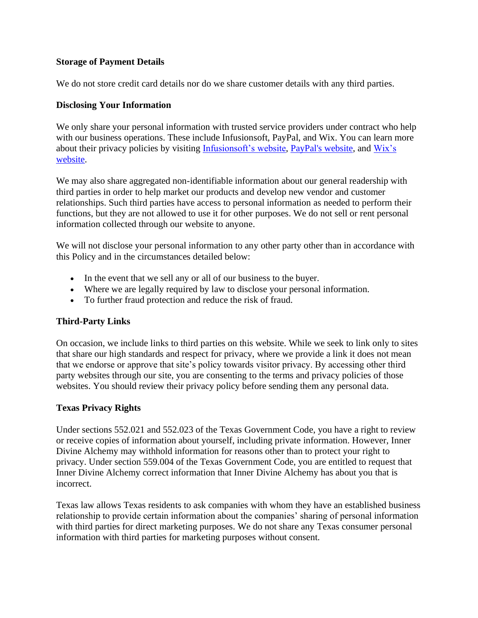#### **Storage of Payment Details**

We do not store credit card details nor do we share customer details with any third parties.

#### **Disclosing Your Information**

We only share your personal information with trusted service providers under contract who help with our business operations. These include Infusions of t, PayPal, and Wix. You can learn more about their privacy policies by visiting Infusions of t's website, [PayPal's website,](https://www.paypal.com/us/webapps/mpp/ua/privacy-full) and Wix's [website.](https://www.wix.com/about/privacy)

We may also share aggregated non-identifiable information about our general readership with third parties in order to help market our products and develop new vendor and customer relationships. Such third parties have access to personal information as needed to perform their functions, but they are not allowed to use it for other purposes. We do not sell or rent personal information collected through our website to anyone.

We will not disclose your personal information to any other party other than in accordance with this Policy and in the circumstances detailed below:

- In the event that we sell any or all of our business to the buyer.
- Where we are legally required by law to disclose your personal information.
- To further fraud protection and reduce the risk of fraud.

#### **Third-Party Links**

On occasion, we include links to third parties on this website. While we seek to link only to sites that share our high standards and respect for privacy, where we provide a link it does not mean that we endorse or approve that site's policy towards visitor privacy. By accessing other third party websites through our site, you are consenting to the terms and privacy policies of those websites. You should review their privacy policy before sending them any personal data.

#### **Texas Privacy Rights**

Under sections 552.021 and 552.023 of the Texas Government Code, you have a right to review or receive copies of information about yourself, including private information. However, Inner Divine Alchemy may withhold information for reasons other than to protect your right to privacy. Under section 559.004 of the Texas Government Code, you are entitled to request that Inner Divine Alchemy correct information that Inner Divine Alchemy has about you that is incorrect.

Texas law allows Texas residents to ask companies with whom they have an established business relationship to provide certain information about the companies' sharing of personal information with third parties for direct marketing purposes. We do not share any Texas consumer personal information with third parties for marketing purposes without consent.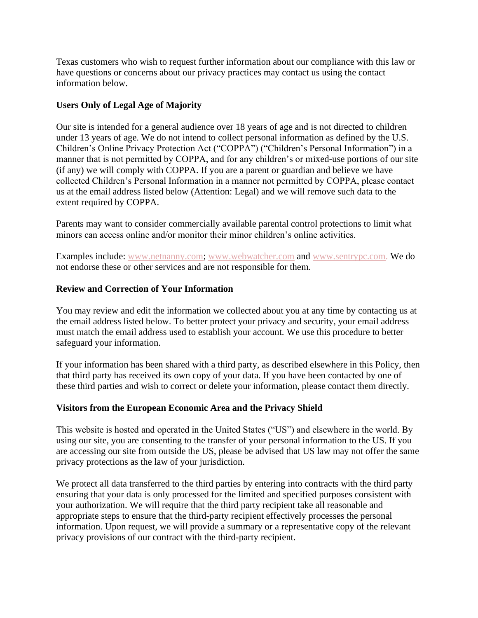Texas customers who wish to request further information about our compliance with this law or have questions or concerns about our privacy practices may contact us using the contact information below.

## **Users Only of Legal Age of Majority**

Our site is intended for a general audience over 18 years of age and is not directed to children under 13 years of age. We do not intend to collect personal information as defined by the U.S. Children's Online Privacy Protection Act ("COPPA") ("Children's Personal Information") in a manner that is not permitted by COPPA, and for any children's or mixed-use portions of our site (if any) we will comply with COPPA. If you are a parent or guardian and believe we have collected Children's Personal Information in a manner not permitted by COPPA, please contact us at the email address listed below (Attention: Legal) and we will remove such data to the extent required by COPPA.

Parents may want to consider commercially available parental control protections to limit what minors can access online and/or monitor their minor children's online activities.

Examples include: www.netnanny.com; www.webwatcher.com and www.sentrypc.com. We do not endorse these or other services and are not responsible for them.

## **Review and Correction of Your Information**

You may review and edit the information we collected about you at any time by contacting us at the email address listed below. To better protect your privacy and security, your email address must match the email address used to establish your account. We use this procedure to better safeguard your information.

If your information has been shared with a third party, as described elsewhere in this Policy, then that third party has received its own copy of your data. If you have been contacted by one of these third parties and wish to correct or delete your information, please contact them directly.

## **Visitors from the European Economic Area and the Privacy Shield**

This website is hosted and operated in the United States ("US") and elsewhere in the world. By using our site, you are consenting to the transfer of your personal information to the US. If you are accessing our site from outside the US, please be advised that US law may not offer the same privacy protections as the law of your jurisdiction.

We protect all data transferred to the third parties by entering into contracts with the third party ensuring that your data is only processed for the limited and specified purposes consistent with your authorization. We will require that the third party recipient take all reasonable and appropriate steps to ensure that the third-party recipient effectively processes the personal information. Upon request, we will provide a summary or a representative copy of the relevant privacy provisions of our contract with the third-party recipient.